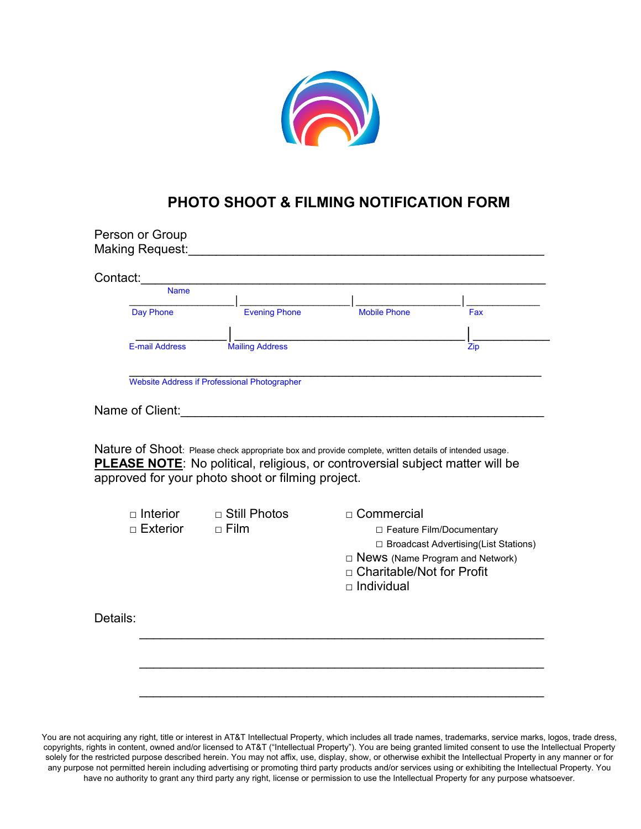

## **PHOTO SHOOT & FILMING NOTIFICATION FORM**

| Contact:<br><b>Name</b>       |                                                                                                                                                                                                                                           |                                                  |                                        |
|-------------------------------|-------------------------------------------------------------------------------------------------------------------------------------------------------------------------------------------------------------------------------------------|--------------------------------------------------|----------------------------------------|
| Day Phone                     | <b>Evening Phone</b>                                                                                                                                                                                                                      | <b>Mobile Phone</b>                              | Fax                                    |
|                               |                                                                                                                                                                                                                                           |                                                  |                                        |
| <b>E-mail Address</b>         | <b>Mailing Address</b>                                                                                                                                                                                                                    |                                                  | Zip                                    |
|                               | <b>Website Address if Professional Photographer</b>                                                                                                                                                                                       |                                                  |                                        |
|                               |                                                                                                                                                                                                                                           |                                                  |                                        |
|                               | <u> 1980 - Johann Barbara, martin d</u><br>Nature of Shoot: Please check appropriate box and provide complete, written details of intended usage.<br><b>PLEASE NOTE:</b> No political, religious, or controversial subject matter will be |                                                  |                                        |
|                               | approved for your photo shoot or filming project.                                                                                                                                                                                         |                                                  |                                        |
| $\Box$ Interior<br>□ Exterior | $\Box$ Still Photos<br>$\Box$ Film                                                                                                                                                                                                        | □ Commercial                                     |                                        |
|                               |                                                                                                                                                                                                                                           | □ Feature Film/Documentary                       | □ Broadcast Advertising(List Stations) |
|                               |                                                                                                                                                                                                                                           | □ News (Name Program and Network)                |                                        |
| Name of Client:               |                                                                                                                                                                                                                                           | □ Charitable/Not for Profit<br>$\Box$ Individual |                                        |
| Details:                      |                                                                                                                                                                                                                                           |                                                  |                                        |

You are not acquiring any right, title or interest in AT&T Intellectual Property, which includes all trade names, trademarks, service marks, logos, trade dress, copyrights, rights in content, owned and/or licensed to AT&T ("Intellectual Property"). You are being granted limited consent to use the Intellectual Property solely for the restricted purpose described herein. You may not affix, use, display, show, or otherwise exhibit the Intellectual Property in any manner or for any purpose not permitted herein including advertising or promoting third party products and/or services using or exhibiting the Intellectual Property. You have no authority to grant any third party any right, license or permission to use the Intellectual Property for any purpose whatsoever.